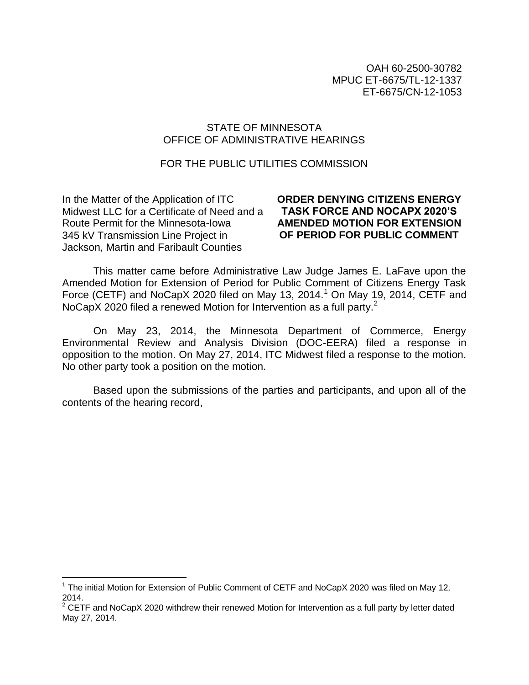OAH 60-2500-30782 MPUC ET-6675/TL-12-1337 ET-6675/CN-12-1053

#### STATE OF MINNESOTA OFFICE OF ADMINISTRATIVE HEARINGS

#### FOR THE PUBLIC UTILITIES COMMISSION

In the Matter of the Application of ITC Midwest LLC for a Certificate of Need and a Route Permit for the Minnesota-Iowa 345 kV Transmission Line Project in Jackson, Martin and Faribault Counties

i<br>L

### **ORDER DENYING CITIZENS ENERGY TASK FORCE AND NOCAPX 2020'S AMENDED MOTION FOR EXTENSION OF PERIOD FOR PUBLIC COMMENT**

This matter came before Administrative Law Judge James E. LaFave upon the Amended Motion for Extension of Period for Public Comment of Citizens Energy Task Force (CETF) and NoCapX 2020 filed on May 13, 2014.<sup>1</sup> On May 19, 2014, CETF and NoCapX 2020 filed a renewed Motion for Intervention as a full party.<sup>2</sup>

On May 23, 2014, the Minnesota Department of Commerce, Energy Environmental Review and Analysis Division (DOC-EERA) filed a response in opposition to the motion. On May 27, 2014, ITC Midwest filed a response to the motion. No other party took a position on the motion.

Based upon the submissions of the parties and participants, and upon all of the contents of the hearing record,

<sup>&</sup>lt;sup>1</sup> The initial Motion for Extension of Public Comment of CETF and NoCapX 2020 was filed on May 12, 2014.

 $2$  CETF and NoCapX 2020 withdrew their renewed Motion for Intervention as a full party by letter dated May 27, 2014.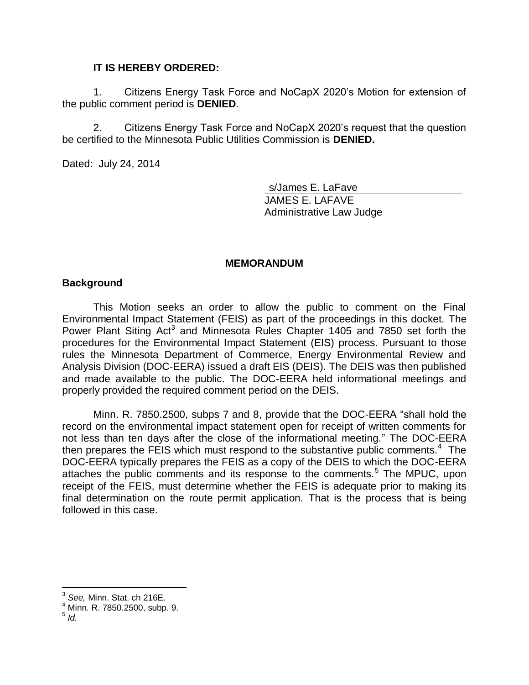### **IT IS HEREBY ORDERED:**

1. Citizens Energy Task Force and NoCapX 2020's Motion for extension of the public comment period is **DENIED**.

2. Citizens Energy Task Force and NoCapX 2020's request that the question be certified to the Minnesota Public Utilities Commission is **DENIED.**

Dated: July 24, 2014

s/James E. LaFave JAMES E. LAFAVE Administrative Law Judge

#### **MEMORANDUM**

#### **Background**

This Motion seeks an order to allow the public to comment on the Final Environmental Impact Statement (FEIS) as part of the proceedings in this docket. The Power Plant Siting Act<sup>3</sup> and Minnesota Rules Chapter 1405 and 7850 set forth the procedures for the Environmental Impact Statement (EIS) process. Pursuant to those rules the Minnesota Department of Commerce, Energy Environmental Review and Analysis Division (DOC-EERA) issued a draft EIS (DEIS). The DEIS was then published and made available to the public. The DOC-EERA held informational meetings and properly provided the required comment period on the DEIS.

Minn. R. 7850.2500, subps 7 and 8, provide that the DOC-EERA "shall hold the record on the environmental impact statement open for receipt of written comments for not less than ten days after the close of the informational meeting." The DOC-EERA then prepares the FEIS which must respond to the substantive public comments.<sup>4</sup> The DOC-EERA typically prepares the FEIS as a copy of the DEIS to which the DOC-EERA attaches the public comments and its response to the comments.<sup>5</sup> The MPUC, upon receipt of the FEIS, must determine whether the FEIS is adequate prior to making its final determination on the route permit application. That is the process that is being followed in this case.

i<br>L <sup>3</sup> *See,* Minn. Stat. ch 216E.

<sup>4</sup> Minn. R. 7850.2500, subp. 9. 5 *Id.*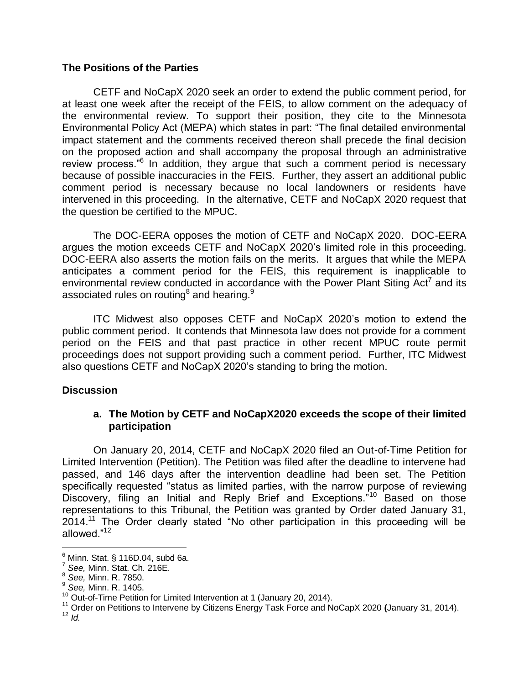## **The Positions of the Parties**

CETF and NoCapX 2020 seek an order to extend the public comment period, for at least one week after the receipt of the FEIS, to allow comment on the adequacy of the environmental review. To support their position, they cite to the Minnesota Environmental Policy Act (MEPA) which states in part: "The final detailed environmental impact statement and the comments received thereon shall precede the final decision on the proposed action and shall accompany the proposal through an administrative review process."<sup>6</sup> In addition, they argue that such a comment period is necessary because of possible inaccuracies in the FEIS. Further, they assert an additional public comment period is necessary because no local landowners or residents have intervened in this proceeding. In the alternative, CETF and NoCapX 2020 request that the question be certified to the MPUC.

The DOC-EERA opposes the motion of CETF and NoCapX 2020. DOC-EERA argues the motion exceeds CETF and NoCapX 2020's limited role in this proceeding. DOC-EERA also asserts the motion fails on the merits. It argues that while the MEPA anticipates a comment period for the FEIS, this requirement is inapplicable to environmental review conducted in accordance with the Power Plant Siting Act<sup>7</sup> and its associated rules on routing $^8$  and hearing. $^9$ 

ITC Midwest also opposes CETF and NoCapX 2020's motion to extend the public comment period. It contends that Minnesota law does not provide for a comment period on the FEIS and that past practice in other recent MPUC route permit proceedings does not support providing such a comment period. Further, ITC Midwest also questions CETF and NoCapX 2020's standing to bring the motion.

## **Discussion**

## **a. The Motion by CETF and NoCapX2020 exceeds the scope of their limited participation**

On January 20, 2014, CETF and NoCapX 2020 filed an Out-of-Time Petition for Limited Intervention (Petition). The Petition was filed after the deadline to intervene had passed, and 146 days after the intervention deadline had been set. The Petition specifically requested "status as limited parties, with the narrow purpose of reviewing Discovery, filing an Initial and Reply Brief and Exceptions.<sup>"10</sup> Based on those representations to this Tribunal, the Petition was granted by Order dated January 31,  $2014$ <sup>11</sup> The Order clearly stated "No other participation in this proceeding will be allowed."<sup>12</sup>

i<br>L

 $^6$  Minn. Stat. § 116D.04, subd 6a.

<sup>7</sup> *See,* Minn. Stat. Ch. 216E.

<sup>8</sup> *See,* Minn. R. 7850.

<sup>9</sup> *See,* Minn. R. 1405.

 $10$  Out-of-Time Petition for Limited Intervention at 1 (January 20, 2014).

<sup>11</sup> Order on Petitions to Intervene by Citizens Energy Task Force and NoCapX 2020 **(**January 31, 2014).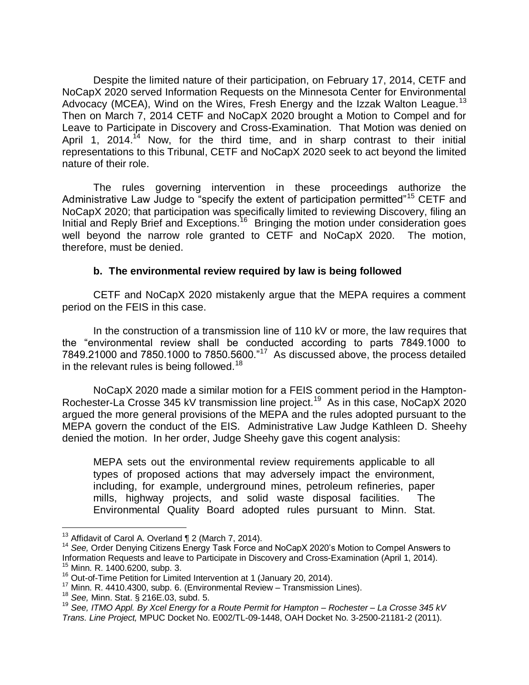Despite the limited nature of their participation, on February 17, 2014, CETF and NoCapX 2020 served Information Requests on the Minnesota Center for Environmental Advocacy (MCEA), Wind on the Wires, Fresh Energy and the Izzak Walton League.<sup>13</sup> Then on March 7, 2014 CETF and NoCapX 2020 brought a Motion to Compel and for Leave to Participate in Discovery and Cross-Examination. That Motion was denied on April 1, 2014.<sup>14</sup> Now, for the third time, and in sharp contrast to their initial representations to this Tribunal, CETF and NoCapX 2020 seek to act beyond the limited nature of their role.

The rules governing intervention in these proceedings authorize the Administrative Law Judge to "specify the extent of participation permitted"<sup>15</sup> CETF and NoCapX 2020; that participation was specifically limited to reviewing Discovery, filing an Initial and Reply Brief and Exceptions.<sup>16</sup> Bringing the motion under consideration goes well beyond the narrow role granted to CETF and NoCapX 2020. The motion, therefore, must be denied.

# **b. The environmental review required by law is being followed**

CETF and NoCapX 2020 mistakenly argue that the MEPA requires a comment period on the FEIS in this case.

In the construction of a transmission line of 110 kV or more, the law requires that the "environmental review shall be conducted according to parts 7849.1000 to  $7849.21000$  and  $7850.1000$  to  $7850.5600.^{n17}$  As discussed above, the process detailed in the relevant rules is being followed.<sup>18</sup>

NoCapX 2020 made a similar motion for a FEIS comment period in the Hampton-Rochester-La Crosse 345 kV transmission line project.<sup>19</sup> As in this case, NoCapX 2020 argued the more general provisions of the MEPA and the rules adopted pursuant to the MEPA govern the conduct of the EIS. Administrative Law Judge Kathleen D. Sheehy denied the motion. In her order, Judge Sheehy gave this cogent analysis:

MEPA sets out the environmental review requirements applicable to all types of proposed actions that may adversely impact the environment, including, for example, underground mines, petroleum refineries, paper mills, highway projects, and solid waste disposal facilities. The Environmental Quality Board adopted rules pursuant to Minn. Stat.

i<br>L

 $13$  Affidavit of Carol A. Overland  $\P$  2 (March 7, 2014).

<sup>&</sup>lt;sup>14</sup> See, Order Denying Citizens Energy Task Force and NoCapX 2020's Motion to Compel Answers to Information Requests and leave to Participate in Discovery and Cross-Examination (April 1, 2014). <sup>15</sup> Minn. R. 1400.6200, subp. 3.

<sup>16</sup> Out-of-Time Petition for Limited Intervention at 1 (January 20, 2014).

<sup>17</sup> Minn. R. 4410.4300, subp. 6. (Environmental Review – Transmission Lines).

<sup>18</sup> *See,* Minn. Stat. § 216E.03, subd. 5.

<sup>19</sup> *See, ITMO Appl. By Xcel Energy for a Route Permit for Hampton – Rochester – La Crosse 345 kV Trans. Line Project,* MPUC Docket No. E002/TL-09-1448, OAH Docket No. 3-2500-21181-2 (2011).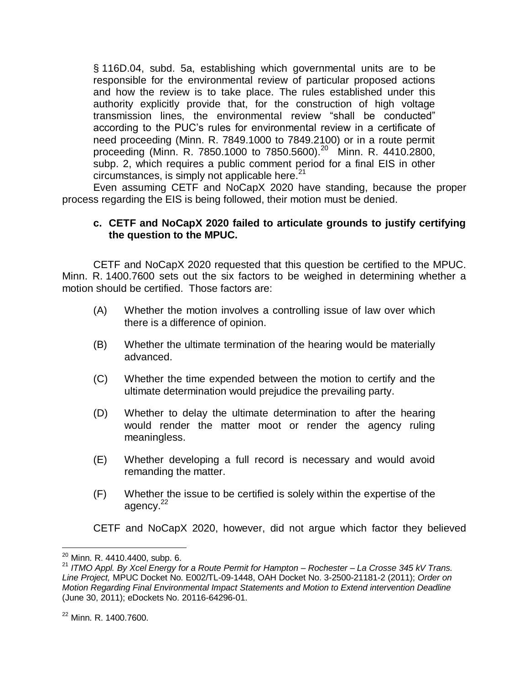§ 116D.04, subd. 5a, establishing which governmental units are to be responsible for the environmental review of particular proposed actions and how the review is to take place. The rules established under this authority explicitly provide that, for the construction of high voltage transmission lines, the environmental review "shall be conducted" according to the PUC's rules for environmental review in a certificate of need proceeding (Minn. R. 7849.1000 to 7849.2100) or in a route permit proceeding (Minn. R. 7850.1000 to 7850.5600).<sup>20</sup> Minn. R. 4410.2800, subp. 2, which requires a public comment period for a final EIS in other circumstances, is simply not applicable here. $21$ 

Even assuming CETF and NoCapX 2020 have standing, because the proper process regarding the EIS is being followed, their motion must be denied.

## **c. CETF and NoCapX 2020 failed to articulate grounds to justify certifying the question to the MPUC.**

CETF and NoCapX 2020 requested that this question be certified to the MPUC. Minn. R. 1400.7600 sets out the six factors to be weighed in determining whether a motion should be certified. Those factors are:

- (A) Whether the motion involves a controlling issue of law over which there is a difference of opinion.
- (B) Whether the ultimate termination of the hearing would be materially advanced.
- (C) Whether the time expended between the motion to certify and the ultimate determination would prejudice the prevailing party.
- (D) Whether to delay the ultimate determination to after the hearing would render the matter moot or render the agency ruling meaningless.
- (E) Whether developing a full record is necessary and would avoid remanding the matter.
- (F) Whether the issue to be certified is solely within the expertise of the agency.<sup>22</sup>

CETF and NoCapX 2020, however, did not argue which factor they believed

i<br>L

 $^{20}$  Minn. R. 4410.4400, subp. 6.

<sup>21</sup> *ITMO Appl. By Xcel Energy for a Route Permit for Hampton – Rochester – La Crosse 345 kV Trans. Line Project,* MPUC Docket No. E002/TL-09-1448, OAH Docket No. 3-2500-21181-2 (2011); *Order on Motion Regarding Final Environmental Impact Statements and Motion to Extend intervention Deadline*  (June 30, 2011); eDockets No. 20116-64296-01.

<sup>22</sup> Minn. R. 1400.7600.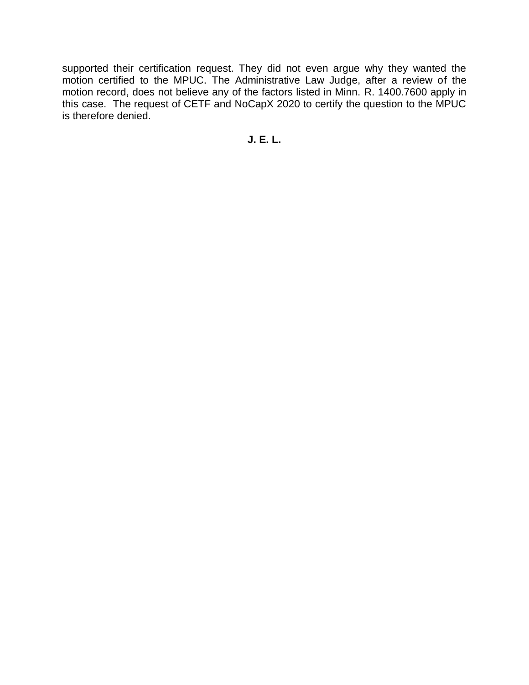supported their certification request. They did not even argue why they wanted the motion certified to the MPUC. The Administrative Law Judge, after a review of the motion record, does not believe any of the factors listed in Minn. R. 1400.7600 apply in this case. The request of CETF and NoCapX 2020 to certify the question to the MPUC is therefore denied.

**J. E. L.**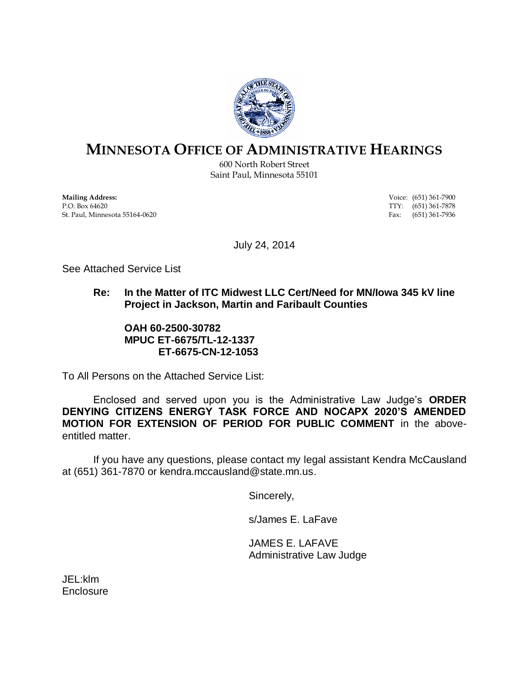

# **MINNESOTA OFFICE OF ADMINISTRATIVE HEARINGS**

600 North Robert Street Saint Paul, Minnesota 55101

**Mailing Address:** Voice: (651) 361-7900<br> **P.O.** Box 64620 **TTY:** (651) 361-7878 St. Paul, Minnesota 55164-0620 Fax: (651) 361-7936

 $TTY: (651) 361-7878$ 

July 24, 2014

See Attached Service List

# **Re: In the Matter of ITC Midwest LLC Cert/Need for MN/Iowa 345 kV line Project in Jackson, Martin and Faribault Counties**

#### **OAH 60-2500-30782 MPUC ET-6675/TL-12-1337 ET-6675-CN-12-1053**

To All Persons on the Attached Service List:

Enclosed and served upon you is the Administrative Law Judge's **ORDER DENYING CITIZENS ENERGY TASK FORCE AND NOCAPX 2020'S AMENDED MOTION FOR EXTENSION OF PERIOD FOR PUBLIC COMMENT** in the aboveentitled matter.

If you have any questions, please contact my legal assistant Kendra McCausland at (651) 361-7870 or kendra.mccausland@state.mn.us.

Sincerely,

s/James E. LaFave

JAMES E. LAFAVE Administrative Law Judge

JEL:klm **Enclosure**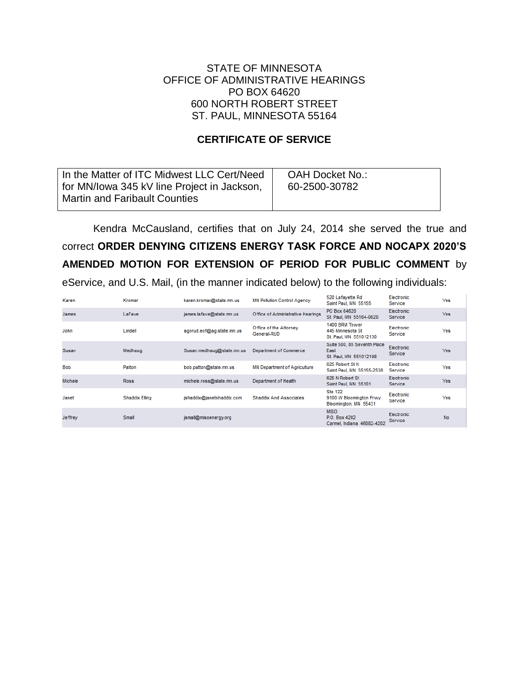### STATE OF MINNESOTA OFFICE OF ADMINISTRATIVE HEARINGS PO BOX 64620 600 NORTH ROBERT STREET ST. PAUL, MINNESOTA 55164

## **CERTIFICATE OF SERVICE**

| In the Matter of ITC Midwest LLC Cert/Need<br>for MN/lowa 345 kV line Project in Jackson, | OAH Docket No.:<br>60-2500-30782 |
|-------------------------------------------------------------------------------------------|----------------------------------|
| <b>Martin and Faribault Counties</b>                                                      |                                  |
|                                                                                           |                                  |

Kendra McCausland, certifies that on July 24, 2014 she served the true and correct **ORDER DENYING CITIZENS ENERGY TASK FORCE AND NOCAPX 2020'S AMENDED MOTION FOR EXTENSION OF PERIOD FOR PUBLIC COMMENT** by eService, and U.S. Mail, (in the manner indicated below) to the following individuals:

| Karen          | Kromar                | karen.kromar@state.mn.us  | <b>MN Pollution Control Agency</b>    | 520 Lafayette Rd<br>Saint Paul, MN 55155                           | Electronic<br>Service               | Yes        |
|----------------|-----------------------|---------------------------|---------------------------------------|--------------------------------------------------------------------|-------------------------------------|------------|
| <b>James</b>   | LaFave                | james.lafave@state.mn.us  | Office of Administrative Hearings     | PO Box 64620<br>St. Paul, MN 55164-0620                            | <b>Electronic</b><br><b>Service</b> | Yes.       |
| John           | Lindell               | agorud.ecf@ag.state.mn.us | Office of the Attorney<br>General-RUD | 1400 BRM Tower<br>445 Minnesota St<br>St. Paul, MN 551012130       | Electronic<br>Service               | Yes        |
| Susan          | Medhaug               | Susan.medhaug@state.mn.us | Department of Commerce                | Suite 500, 85 Seventh Place<br>East<br>St. Paul, MN 551012198      | Electronic<br><b>Service</b>        | <b>Yes</b> |
| <b>Bob</b>     | Patton                | bob.patton@state.mn.us    | <b>MN Department of Agriculture</b>   | 625 Robert St N<br>Saint Paul, MN 55155-2538                       | Electronic<br>Service               | Yes        |
| <b>Michele</b> | <b>Ross</b>           | michele.ross@state.mn.us  | Department of Health                  | 625 N Robert St<br>Saint Paul, MN 55101                            | Electronic<br><b>Service</b>        | Yes.       |
| Janet          | <b>Shaddix Elling</b> | jshaddix@janetshaddix.com | <b>Shaddix And Associates</b>         | <b>Ste 122</b><br>9100 W Bloomington Frwy<br>Bloomington, MN 55431 | Electronic<br>Service               | Yes        |
| <b>Jeffrey</b> | Small                 | ismall@misoenergy.org     |                                       | <b>MISO</b><br>P.O. Box 4202<br>Carmel, Indiana 46082-4202         | Electronic<br>Service               | <b>No</b>  |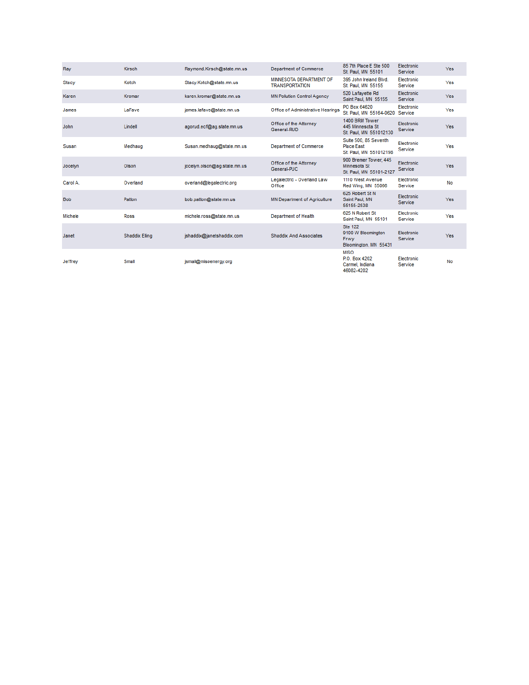| Ray            | Kirsch                | Raymond.Kirsch@state.mn.us   | Department of Commerce                           | 85 7th Place E Ste 500<br>St. Paul, MN 55101                          | Electronic<br>Service | <b>Yes</b> |
|----------------|-----------------------|------------------------------|--------------------------------------------------|-----------------------------------------------------------------------|-----------------------|------------|
| <b>Stacy</b>   | Kotch                 | Stacy.Kotch@state.mn.us      | MINNESOTA DEPARTMENT OF<br><b>TRANSPORTATION</b> | 395 John Ireland Blvd.<br>St. Paul, MN 55155                          | Electronic<br>Service | Yes        |
| Karen          | Kromar                | karen.kromar@state.mn.us     | <b>MN Pollution Control Agency</b>               | 520 Lafayette Rd<br>Saint Paul, MN 55155                              | Electronic<br>Service | Yes        |
| James          | LaFave                | james.lafave@state.mn.us     | Office of Administrative Hearings                | PO Box 64620<br>St. Paul. MN 55164-0620                               | Electronic<br>Service | Yes        |
| John           | Lindell               | agorud.ecf@ag.state.mn.us    | Office of the Attorney<br>General-RUD            | 1400 BRM Tower<br>445 Minnesota St<br>St. Paul, MN 551012130          | Electronic<br>Service | Yes        |
| Susan          | Medhaug               | Susan.medhaug@state.mn.us    | <b>Department of Commerce</b>                    | Suite 500, 85 Seventh<br><b>Place East</b><br>St. Paul, MN 551012198  | Electronic<br>Service | Yes        |
| Jocelyn        | Olson                 | jocelyn.olson@ag.state.mn.us | Office of the Attorney<br>General-PUC            | 900 Bremer Tower, 445<br>Minnesota St<br>St. Paul, MN 55101-2127      | Electronic<br>Service | Yes        |
| Carol A.       | Overland              | overland@legalectric.org     | Legalectric - Overland Law<br>Office             | 1110 West Avenue<br>Red Wing, MN 55066                                | Electronic<br>Service | No         |
| <b>Bob</b>     | Patton                | bob.patton@state.mn.us       | <b>MN Department of Agriculture</b>              | 625 Robert St N<br>Saint Paul, MN<br>55155-2538                       | Electronic<br>Service | Yes        |
| <b>Michele</b> | <b>Ross</b>           | michele.ross@state.mn.us     | <b>Department of Health</b>                      | 625 N Robert St<br>Saint Paul, MN 55101                               | Electronic<br>Service | Yes        |
| Janet          | <b>Shaddix Elling</b> | jshaddix@janetshaddix.com    | <b>Shaddix And Associates</b>                    | <b>Ste 122</b><br>9100 W Bloomington<br>Frwy<br>Bloomington, MN 55431 | Electronic<br>Service | Yes        |
| Jeffrey        | Small                 | ismall@misoenergy.org        |                                                  | <b>MISO</b><br>P.O. Box 4202<br>Carmel, Indiana<br>46082-4202         | Electronic<br>Service | No         |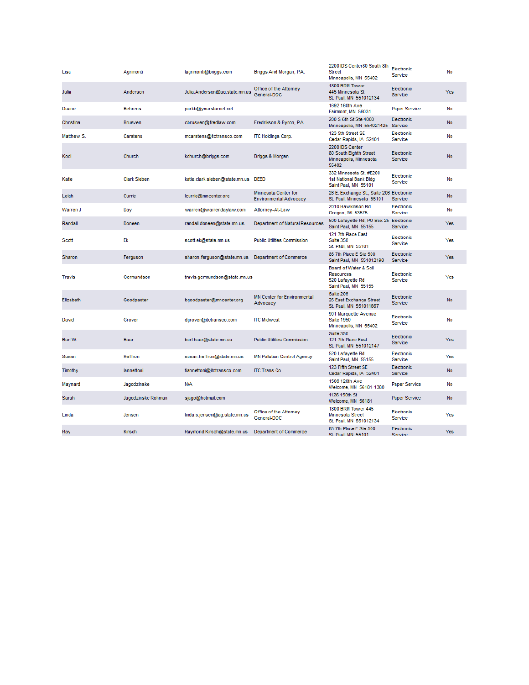| Lisa          | Agrimonti           | lagrimonti@briggs.com               | Briggs And Morgan, P.A.                               | 2200 IDS Center80 South 8th<br><b>Street</b><br>Minneapolis, MN 55402                 | Electronic<br>Service | No        |
|---------------|---------------------|-------------------------------------|-------------------------------------------------------|---------------------------------------------------------------------------------------|-----------------------|-----------|
| Julia         | Anderson            | Julia.Anderson@ag.state.mn.us       | Office of the Attorney<br>General-DOC                 | 1800 BRM Tower<br>445 Minnesota St<br>St. Paul, MN 551012134                          | Electronic<br>Service | Yes       |
| Duane         | <b>Behrens</b>      | porkb@yourstarnet.net               |                                                       | 1692 160th Ave<br>Fairmont, MN 56031                                                  | <b>Paper Service</b>  | No        |
| Christina     | <b>Brusven</b>      | cbrusven@fredlaw.com                | Fredrikson & Byron, P.A.                              | 200 S 6th St Ste 4000<br>Minneapolis, MN 554021425 Service                            | Electronic            | <b>No</b> |
| Matthew S.    | Carstens            | mcarstens@itctransco.com            | <b>ITC Holdings Corp.</b>                             | 123 5th Street SE<br>Cedar Rapids, IA 52401                                           | Electronic<br>Service | No        |
| Kodi          | Church              | kchurch@briggs.com                  | Briggs & Morgan                                       | 2200 IDS Center<br>80 South Eighth Street<br>Minneapolis, Minnesota<br>55402          | Electronic<br>Service | <b>No</b> |
| Katie         | <b>Clark Sieben</b> | katie.clark.sieben@state.mn.us DEED |                                                       | 332 Minnesota St, #E200<br>1st National Bank Bldg<br>Saint Paul, MN 55101             | Electronic<br>Service | No        |
| Leigh         | Currie              | lcurrie@mncenter.org                | Minnesota Center for<br><b>Environmental Advocacy</b> | 26 E. Exchange St., Suite 206 Electronic<br>St. Paul, Minnesota 55101                 | Service               | No        |
| Warren J      | Day                 | warren@warrendaylaw.com             | Attorney-At-Law                                       | 2010 Hawkinson Rd<br>Oregon, WI 53575                                                 | Electronic<br>Service | No        |
| Randall       | Doneen              | randall.doneen@state.mn.us          | Department of Natural Resources                       | 500 Lafayette Rd, PO Box 25 Electronic<br>Saint Paul, MN 55155                        | Service               | Yes       |
| Scott         | Ek                  | scott.ek@state.mn.us                | <b>Public Utilities Commission</b>                    | 121 7th Place East<br>Suite 350<br>St. Paul, MN 55101                                 | Electronic<br>Service | Yes       |
| Sharon        | Ferguson            | sharon.ferguson@state.mn.us         | Department of Commerce                                | 85 7th Place E Ste 500<br>Saint Paul, MN 551012198                                    | Electronic<br>Service | Yes       |
| <b>Travis</b> | Germundson          | travis.germundson@state.mn.us       |                                                       | Board of Water & Soil<br><b>Resources</b><br>520 Lafayette Rd<br>Saint Paul, MN 55155 | Electronic<br>Service | Yes       |
| Elizabeth     | Goodpaster          | bgoodpaster@mncenter.org            | <b>MN Center for Environmental</b><br>Advocacy        | Suite 206<br>26 East Exchange Street<br>St. Paul, MN 551011667                        | Electronic<br>Service | No        |
| David         | Grover              | dgrover@itctransco.com              | <b>ITC Midwest</b>                                    | 901 Marquette Avenue<br><b>Suite 1950</b><br>Minneapolis, MN 55402                    | Electronic<br>Service | No        |
| Burl W.       | Haar                | burl.haar@state.mn.us               | <b>Public Utilities Commission</b>                    | Suite 350<br>121 7th Place East<br>St. Paul, MN 551012147                             | Electronic<br>Service | Yes       |
| Susan         | <b>Heffron</b>      | susan.heffron@state.mn.us           | <b>MN Pollution Control Agency</b>                    | 520 Lafayette Rd<br>Saint Paul, MN 55155                                              | Electronic<br>Service | Yes       |
| Timothy       | lannettoni          | tiannettoni@itctransco.com          | <b>ITC Trans Co</b>                                   | 123 Fifth Street SE<br>Cedar Rapids, IA 52401                                         | Electronic<br>Service | <b>No</b> |
| Maynard       | Jagodzinske         | N/A                                 |                                                       | 1506 120th Ave<br>Welcome, MN 56181-1380                                              | Paper Service         | No        |
| Sarah         | Jagodzinske Rohman  | sjago@hotmail.com                   |                                                       | 1126 150th St<br>Welcome, MN 56181                                                    | <b>Paper Service</b>  | No        |
| Linda         | Jensen              | linda.s.jensen@ag.state.mn.us       | Office of the Attorney<br>General-DOC                 | 1800 BRM Tower 445<br><b>Minnesota Street</b><br>St. Paul, MN 551012134               | Electronic<br>Service | Yes       |
| Ray           | Kirsch              | Raymond.Kirsch@state.mn.us          | Department of Commerce                                | 85 7th Place E Ste 500<br>St. Paul. MN 55101                                          | Electronic<br>Service | Yes       |